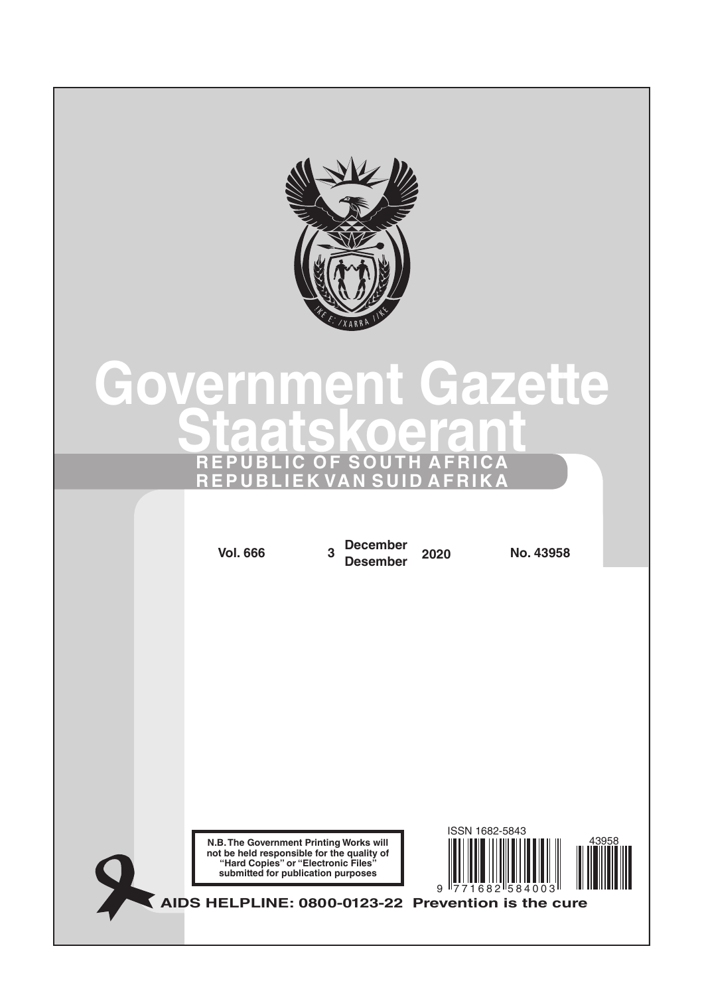

# **Government Gazette Staatskoerant REPUBLIC OF SOUTH AFRICA REPUBLIEK VAN SUID AFRIKA**

**N.B. The Government Printing Works will not be held responsible for the quality of "Hard Copies" or "Electronic Files" submitted for publication purposes AIDS HELPLINE: 0800-0123-22 Prevention is the cure Vol. 666 <sup>3</sup> December Desember <sup>2020</sup> No. 43958** 9 771682 584003 ISSN 1682-5843 43958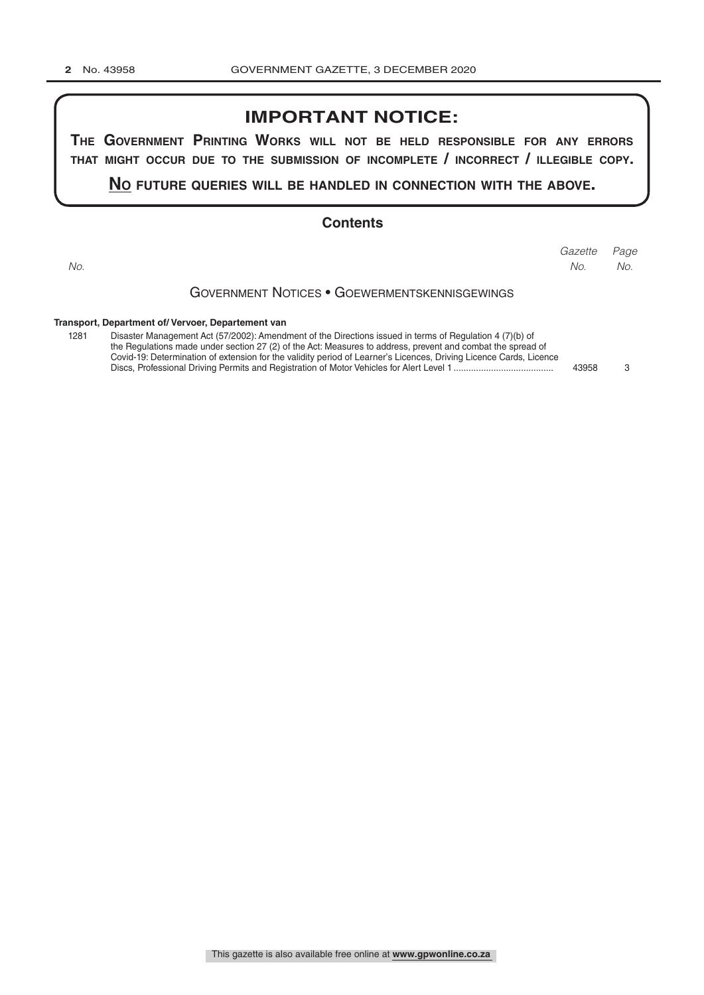## **IMPORTANT NOTICE:**

**The GovernmenT PrinTinG Works Will noT be held resPonsible for any errors ThaT miGhT occur due To The submission of incomPleTe / incorrecT / illeGible coPy.**

**no fuTure queries Will be handled in connecTion WiTh The above.**

#### **Contents**

*Page Gazette No. No. No.*

#### Government Notices • Goewermentskennisgewings

#### **Transport, Department of/ Vervoer, Departement van**

1281 Disaster Management Act (57/2002): Amendment of the Directions issued in terms of Regulation 4 (7)(b) of the Regulations made under section 27 (2) of the Act: Measures to address, prevent and combat the spread of Covid-19: Determination of extension for the validity period of Learner's Licences, Driving Licence Cards, Licence Discs, Professional Driving Permits and Registration of Motor Vehicles for Alert Level 1 ........................................ 43958 3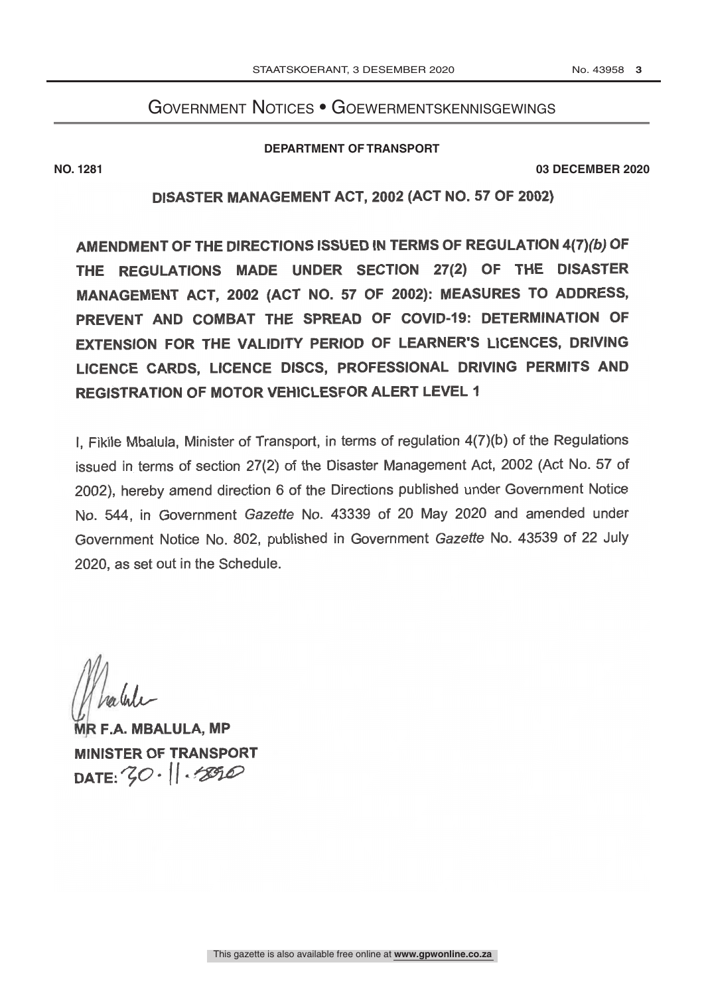## Government Notices • Goewermentskennisgewings

#### **DEPARTMENT OF TRANSPORT**

**NO. 1281 03 DECEMBER 2020**

### DISASTER MANAGEMENT ACT, 2002 (ACT NO. 57 OF 2002)

AMENDMENT OF THE DIRECTIONS ISSUED IN TERMS OF REGULATION 4(7)(b) OF THE REGULATIONS MADE UNDER SECTION 27(2) OF THE DISASTER MANAGEMENT ACT, 2002 (ACT NO. 57 OF 2002): MEASURES TO ADDRESS, PREVENT AND COMBAT THE SPREAD OF COVID-19: DETERMINATION OF EXTENSION FOR THE VALIDITY PERIOD OF LEARNER'S LICENCES, DRIVING LICENCE CARDS, LICENCE DISCS, PROFESSIONAL DRIVING PERMITS AND REGISTRATION OF MOTOR VEHICLESFOR ALERT LEVEL 1

I, Fikile Mbalula, Minister of Transport, in terms of regulation 4(7)(b) of the Regulations issued in terms of section 27(2) of the Disaster Management Act, 2002 (Act No. 57 of 2002), hereby amend direction 6 of the Directions published under Government Notice No. 544, in Government Gazette No. 43339 of 20 May 2020 and amended under Government Notice No. 802, published in Government Gazette No. 43539 of 22 July 2020, as set out in the Schedule.

This gazette is also available free online at **www.gpwonline.co.za**

What We Control Control Control Control Control Control Control Control Control Control Control Control Control Control Control Control Control Control Control Control Control Control Control Control Control Control Contro MINISTER OF TRANSPORT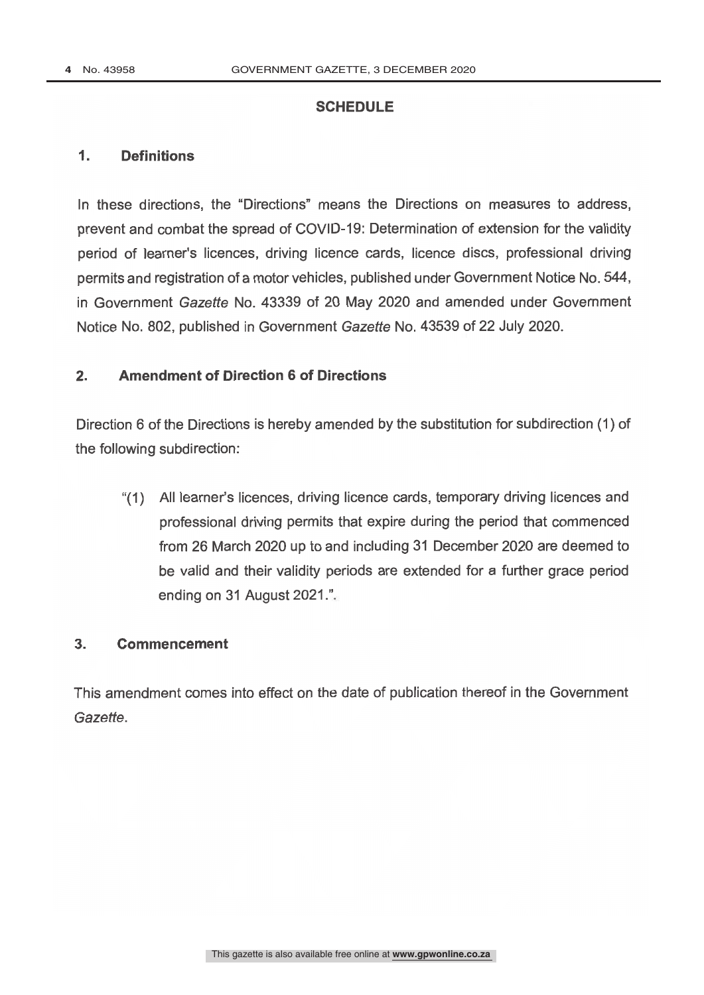## **SCHEDULE**

## 1. Definitions

In these directions, the "Directions" means the Directions on measures to address, prevent and combat the spread of COVID-19: Determination of extension for the validity period of learner's licences, driving licence cards, licence discs, professional driving permits and registration of a motor vehicles, published under Government Notice No. 544, in Government Gazette No. 43339 of 20 May 2020 and amended under Government Notice No. 802, published in Government Gazette No. 43539 of 22 July 2020.

## 2. Amendment of Direction 6 of Directions

Direction 6 of the Directions is hereby amended by the substitution for subdirection (1) of the following subdirection:

"(1) All learner's licences, driving licence cards, temporary driving licences and professional driving permits that expire during the period that commenced from 26 March 2020 up to and including 31 December 2020 are deemed to be valid and their validity periods are extended for a further grace period ending on 31 August 2021."

#### $3<sub>1</sub>$ **Commencement**

This amendment comes into effect on the date of publication thereof in the Government Gazette.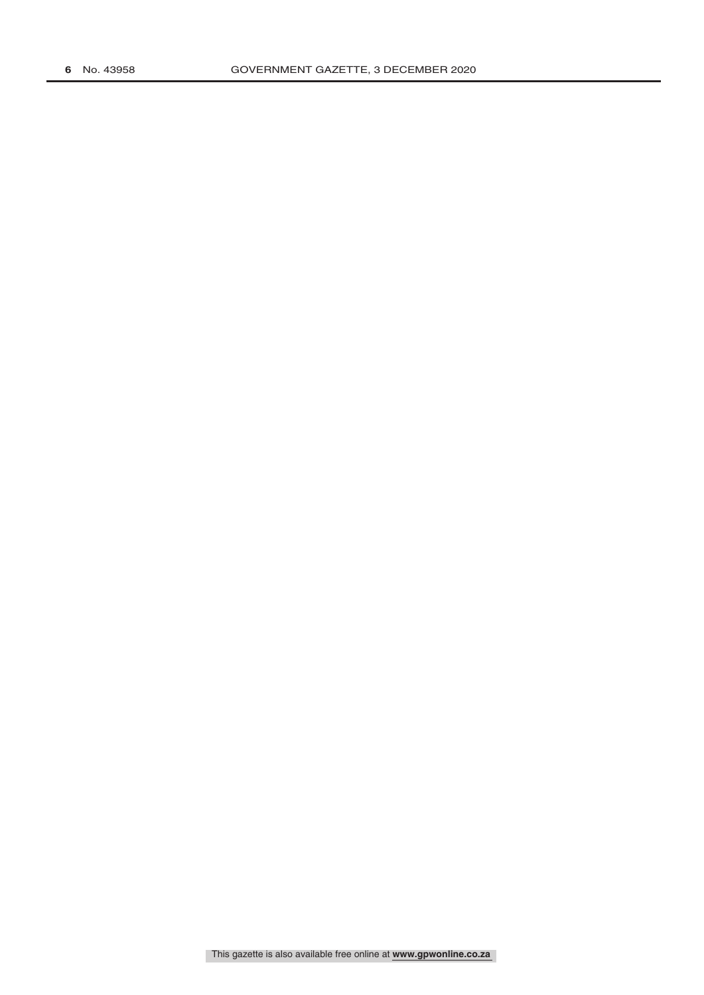This gazette is also available free online at **www.gpwonline.co.za**